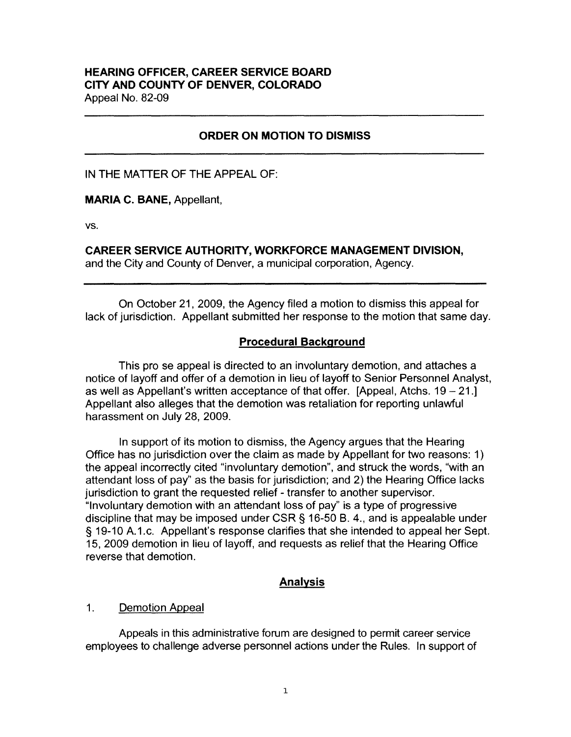## **HEARING OFFICER, CAREER SERVICE BOARD CITY AND COUNTY OF DENVER, COLORADO**  Appeal No. 82-09

## **ORDER ON MOTION TO DISMISS**

IN THE MATTER OF THE APPEAL OF:

**MARIA C. BANE,** Appellant,

vs.

**CAREER SERVICE AUTHORITY, WORKFORCE MANAGEMENT DIVISION,** 

and the City and County of Denver, a municipal corporation, Agency.

On October 21, 2009, the Agency filed a motion to dismiss this appeal for lack of jurisdiction. Appellant submitted her response to the motion that same day.

### **Procedural Background**

This pro se appeal is directed to an involuntary demotion, and attaches a notice of layoff and offer of a demotion in lieu of layoff to Senior Personnel Analyst, as well as Appellant's written acceptance of that offer. [Appeal, Atchs. 19 - 21.] Appellant also alleges that the demotion was retaliation for reporting unlawful harassment on July 28, 2009.

In support of its motion to dismiss, the Agency argues that the Hearing Office has no jurisdiction over the claim as made by Appellant for two reasons: 1) the appeal incorrectly cited "involuntary demotion", and struck the words, "with an attendant loss of pay" as the basis for jurisdiction; and 2) the Hearing Office lacks jurisdiction to grant the requested relief - transfer to another supervisor. "Involuntary demotion with an attendant loss of pay" is a type of progressive discipline that may be imposed under CSR§ 16-50 B. 4., and is appealable under § 19-10 A.1.c. Appellant's response clarifies that she intended to appeal her Sept. 15, 2009 demotion in lieu of layoff, and requests as relief that the Hearing Office reverse that demotion.

### **Analysis**

#### 1. Demotion Appeal

Appeals in this administrative forum are designed to permit career service employees to challenge adverse personnel actions under the Rules. In support of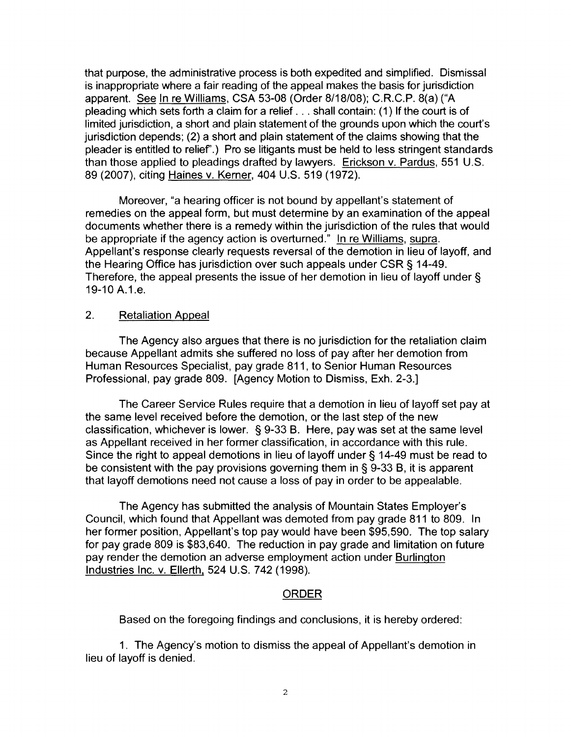that purpose, the administrative process is both expedited and simplified. Dismissal is inappropriate where a fair reading of the appeal makes the basis for jurisdiction apparent. See In re Williams, CSA 53-08 (Order 8/18/08); C.R.C.P. 8(a) ("A pleading which sets forth a claim for a relief ... shall contain: (1) If the court is of limited jurisdiction, a short and plain statement of the grounds upon which the court's jurisdiction depends; (2) a short and plain statement of the claims showing that the pleader is entitled to relief".) Pro se litigants must be held to less stringent standards than those applied to pleadings drafted by lawyers. Erickson v. Pardus, 551 U.S. 89 (2007), citing Haines v. Kerner, 404 U.S. 519 (1972).

Moreover, "a hearing officer is not bound by appellant's statement of remedies on the appeal form, but must determine by an examination of the appeal documents whether there is a remedy within the jurisdiction of the rules that would be appropriate if the agency action is overturned." In re Williams, supra. Appellant's response clearly requests reversal of the demotion in lieu of layoff, and the Hearing Office has jurisdiction over such appeals under CSR § 14-49. Therefore, the appeal presents the issue of her demotion in lieu of layoff under § 19-10 A.1.e.

# 2. Retaliation Appeal

The Agency also argues that there is no jurisdiction for the retaliation claim because Appellant admits she suffered no loss of pay after her demotion from Human Resources Specialist, pay grade 811, to Senior Human Resources Professional, pay grade 809. [Agency Motion to Dismiss, Exh. 2-3.]

The Career Service Rules require that a demotion in lieu of layoff set pay at the same level received before the demotion, or the last step of the new classification, whichever is lower. § 9-33 B. Here, pay was set at the same level as Appellant received in her former classification, in accordance with this rule. Since the right to appeal demotions in lieu of layoff under§ 14-49 must be read to be consistent with the pay provisions governing them in § 9-33 B, it is apparent that layoff demotions need not cause a loss of pay in order to be appealable.

The Agency has submitted the analysis of Mountain States Employer's Council, which found that Appellant was demoted from pay grade 811 to 809. In her former position, Appellant's top pay would have been \$95,590. The top salary for pay grade 809 is \$83,640. The reduction in pay grade and limitation on future pay render the demotion an adverse employment action under Burlington Industries Inc. v. Ellerth, 524 U.S. 742 (1998).

# ORDER

Based on the foregoing findings and conclusions, it is hereby ordered:

1. The Agency's motion to dismiss the appeal of Appellant's demotion in lieu of layoff is denied.